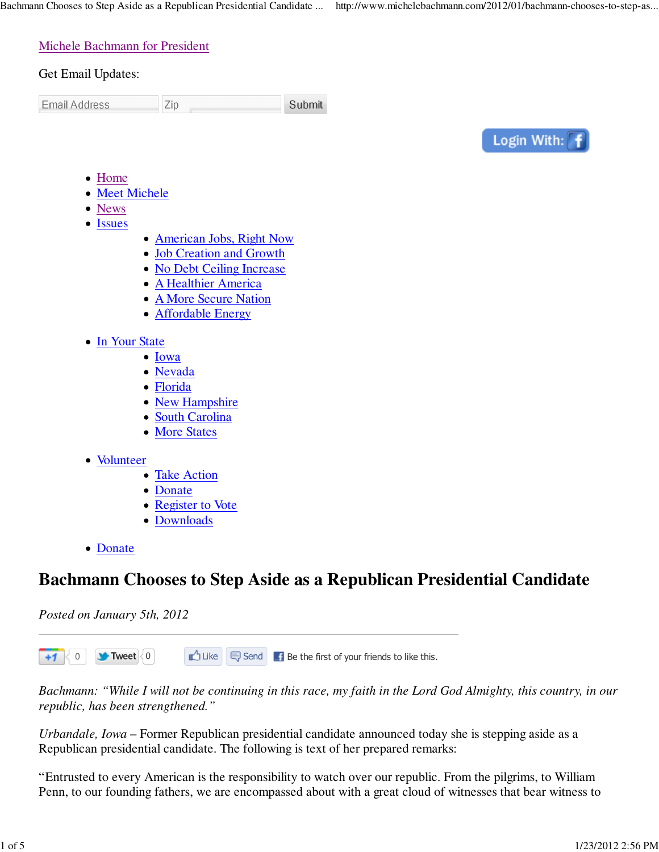Zip

## Michele Bachmann for President

## Get Email Updates:

**Email Address** 

Submit



- Home
- Meet Michele
- News
- Issues
- American Jobs, Right Now
- Job Creation and Growth
- No Debt Ceiling Increase
- A Healthier America
- A More Secure Nation
- Affordable Energy
- In Your State
	- Iowa
	- Nevada
	- Florida
	- New Hampshire
	- South Carolina
	- More States
- Volunteer
	- Take Action
	- Donate
	- Register to Vote
	- Downloads
- Donate

# **Bachmann Chooses to Step Aside as a Republican Presidential Candidate**

*Posted on January 5th, 2012*

 $\Box$  Like  $\Box$  Send  $\Box$  Be the first of your friends to like this. 0 **Tweet**  $\leq 0$  $+1$ 

*Bachmann: "While I will not be continuing in this race, my faith in the Lord God Almighty, this country, in our republic, has been strengthened."*

*Urbandale, Iowa* – Former Republican presidential candidate announced today she is stepping aside as a Republican presidential candidate. The following is text of her prepared remarks:

"Entrusted to every American is the responsibility to watch over our republic. From the pilgrims, to William Penn, to our founding fathers, we are encompassed about with a great cloud of witnesses that bear witness to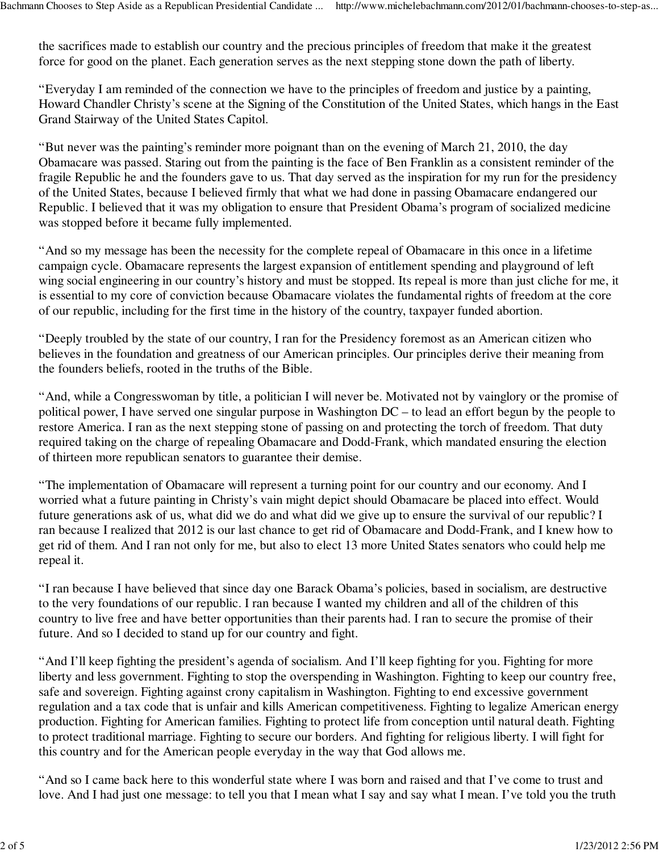the sacrifices made to establish our country and the precious principles of freedom that make it the greatest force for good on the planet. Each generation serves as the next stepping stone down the path of liberty.

"Everyday I am reminded of the connection we have to the principles of freedom and justice by a painting, Howard Chandler Christy's scene at the Signing of the Constitution of the United States, which hangs in the East Grand Stairway of the United States Capitol.

"But never was the painting's reminder more poignant than on the evening of March 21, 2010, the day Obamacare was passed. Staring out from the painting is the face of Ben Franklin as a consistent reminder of the fragile Republic he and the founders gave to us. That day served as the inspiration for my run for the presidency of the United States, because I believed firmly that what we had done in passing Obamacare endangered our Republic. I believed that it was my obligation to ensure that President Obama's program of socialized medicine was stopped before it became fully implemented.

"And so my message has been the necessity for the complete repeal of Obamacare in this once in a lifetime campaign cycle. Obamacare represents the largest expansion of entitlement spending and playground of left wing social engineering in our country's history and must be stopped. Its repeal is more than just cliche for me, it is essential to my core of conviction because Obamacare violates the fundamental rights of freedom at the core of our republic, including for the first time in the history of the country, taxpayer funded abortion.

"Deeply troubled by the state of our country, I ran for the Presidency foremost as an American citizen who believes in the foundation and greatness of our American principles. Our principles derive their meaning from the founders beliefs, rooted in the truths of the Bible.

"And, while a Congresswoman by title, a politician I will never be. Motivated not by vainglory or the promise of political power, I have served one singular purpose in Washington DC – to lead an effort begun by the people to restore America. I ran as the next stepping stone of passing on and protecting the torch of freedom. That duty required taking on the charge of repealing Obamacare and Dodd-Frank, which mandated ensuring the election of thirteen more republican senators to guarantee their demise.

"The implementation of Obamacare will represent a turning point for our country and our economy. And I worried what a future painting in Christy's vain might depict should Obamacare be placed into effect. Would future generations ask of us, what did we do and what did we give up to ensure the survival of our republic? I ran because I realized that 2012 is our last chance to get rid of Obamacare and Dodd-Frank, and I knew how to get rid of them. And I ran not only for me, but also to elect 13 more United States senators who could help me repeal it.

"I ran because I have believed that since day one Barack Obama's policies, based in socialism, are destructive to the very foundations of our republic. I ran because I wanted my children and all of the children of this country to live free and have better opportunities than their parents had. I ran to secure the promise of their future. And so I decided to stand up for our country and fight.

"And I'll keep fighting the president's agenda of socialism. And I'll keep fighting for you. Fighting for more liberty and less government. Fighting to stop the overspending in Washington. Fighting to keep our country free, safe and sovereign. Fighting against crony capitalism in Washington. Fighting to end excessive government regulation and a tax code that is unfair and kills American competitiveness. Fighting to legalize American energy production. Fighting for American families. Fighting to protect life from conception until natural death. Fighting to protect traditional marriage. Fighting to secure our borders. And fighting for religious liberty. I will fight for this country and for the American people everyday in the way that God allows me.

"And so I came back here to this wonderful state where I was born and raised and that I've come to trust and love. And I had just one message: to tell you that I mean what I say and say what I mean. I've told you the truth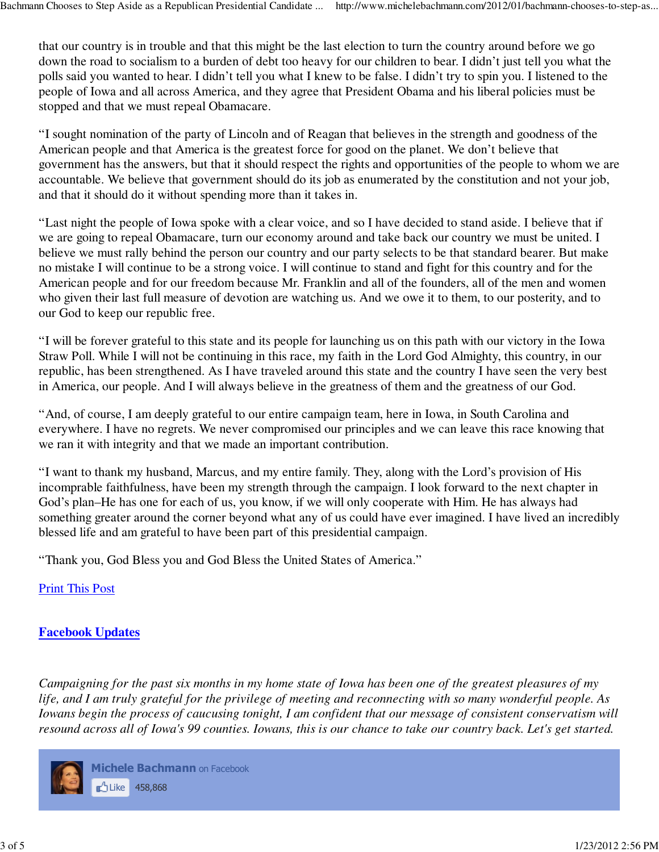that our country is in trouble and that this might be the last election to turn the country around before we go down the road to socialism to a burden of debt too heavy for our children to bear. I didn't just tell you what the polls said you wanted to hear. I didn't tell you what I knew to be false. I didn't try to spin you. I listened to the people of Iowa and all across America, and they agree that President Obama and his liberal policies must be stopped and that we must repeal Obamacare.

"I sought nomination of the party of Lincoln and of Reagan that believes in the strength and goodness of the American people and that America is the greatest force for good on the planet. We don't believe that government has the answers, but that it should respect the rights and opportunities of the people to whom we are accountable. We believe that government should do its job as enumerated by the constitution and not your job, and that it should do it without spending more than it takes in.

"Last night the people of Iowa spoke with a clear voice, and so I have decided to stand aside. I believe that if we are going to repeal Obamacare, turn our economy around and take back our country we must be united. I believe we must rally behind the person our country and our party selects to be that standard bearer. But make no mistake I will continue to be a strong voice. I will continue to stand and fight for this country and for the American people and for our freedom because Mr. Franklin and all of the founders, all of the men and women who given their last full measure of devotion are watching us. And we owe it to them, to our posterity, and to our God to keep our republic free.

"I will be forever grateful to this state and its people for launching us on this path with our victory in the Iowa Straw Poll. While I will not be continuing in this race, my faith in the Lord God Almighty, this country, in our republic, has been strengthened. As I have traveled around this state and the country I have seen the very best in America, our people. And I will always believe in the greatness of them and the greatness of our God.

"And, of course, I am deeply grateful to our entire campaign team, here in Iowa, in South Carolina and everywhere. I have no regrets. We never compromised our principles and we can leave this race knowing that we ran it with integrity and that we made an important contribution.

"I want to thank my husband, Marcus, and my entire family. They, along with the Lord's provision of His incomprable faithfulness, have been my strength through the campaign. I look forward to the next chapter in God's plan–He has one for each of us, you know, if we will only cooperate with Him. He has always had something greater around the corner beyond what any of us could have ever imagined. I have lived an incredibly blessed life and am grateful to have been part of this presidential campaign.

"Thank you, God Bless you and God Bless the United States of America."

Print This Post

# **Facebook Updates**

*Campaigning for the past six months in my home state of Iowa has been one of the greatest pleasures of my life, and I am truly grateful for the privilege of meeting and reconnecting with so many wonderful people. As Iowans begin the process of caucusing tonight, I am confident that our message of consistent conservatism will resound across all of Iowa's 99 counties. Iowans, this is our chance to take our country back. Let's get started.*



**Michele Bachmann** on Facebook Like 458,868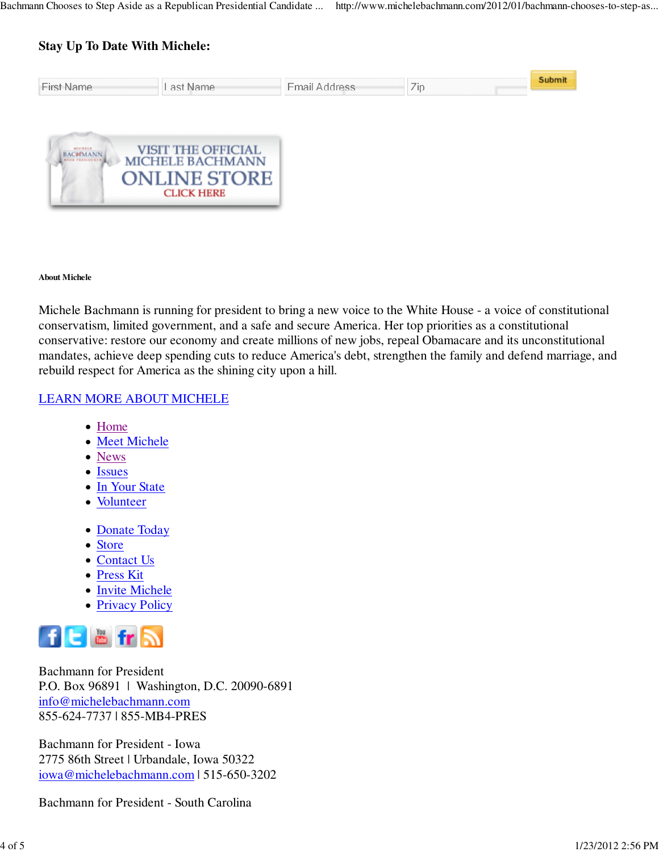# **Stay Up To Date With Michele:**

| <b>First Name</b>                 | Last Name                                            | Email Address | Zip | Submit |
|-----------------------------------|------------------------------------------------------|---------------|-----|--------|
|                                   |                                                      |               |     |        |
| <b>MICHELE</b><br><b>BAC#MANN</b> | <b>VISIT THE OFFICIAL</b><br><b>MICHELE BACHMANN</b> |               |     |        |
|                                   | <b>ONLINE STORE</b>                                  |               |     |        |
|                                   | <b>CLICK HERE</b>                                    |               |     |        |

#### **About Michele**

Michele Bachmann is running for president to bring a new voice to the White House - a voice of constitutional conservatism, limited government, and a safe and secure America. Her top priorities as a constitutional conservative: restore our economy and create millions of new jobs, repeal Obamacare and its unconstitutional mandates, achieve deep spending cuts to reduce America's debt, strengthen the family and defend marriage, and rebuild respect for America as the shining city upon a hill.

#### LEARN MORE ABOUT MICHELE

- Home
- Meet Michele
- News
- Issues
- In Your State
- Volunteer
- Donate Today
- Store
- Contact Us
- Press Kit
- Invite Michele
- Privacy Policy



Bachmann for President P.O. Box 96891 | Washington, D.C. 20090-6891 info@michelebachmann.com 855-624-7737 | 855-MB4-PRES

Bachmann for President - Iowa 2775 86th Street | Urbandale, Iowa 50322 iowa@michelebachmann.com | 515-650-3202

Bachmann for President - South Carolina